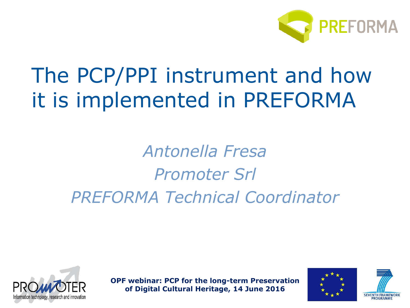

# The PCP/PPI instrument and how it is implemented in PREFORMA

## *Antonella Fresa Promoter Srl PREFORMA Technical Coordinator*





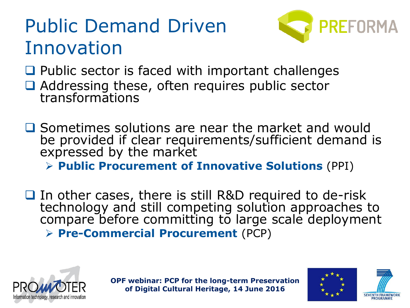## Public Demand Driven Innovation



 $\Box$  Public sector is faced with important challenges

- Addressing these, often requires public sector transformations
- $\Box$  Sometimes solutions are near the market and would be provided if clear requirements/sufficient demand is expressed by the market

**Public Procurement of Innovative Solutions** (PPI)

 $\Box$  In other cases, there is still R&D required to de-risk technology and still competing solution approaches to compare before committing to large scale deployment **Pre-Commercial Procurement** (PCP)





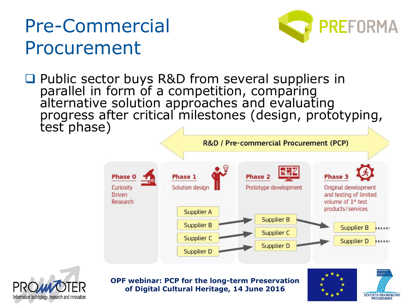## Pre-Commercial Procurement



□ Public sector buys R&D from several suppliers in parallel in form of a competition, comparing alternative solution approaches and evaluating progress after critical milestones (design, prototyping, test phase)







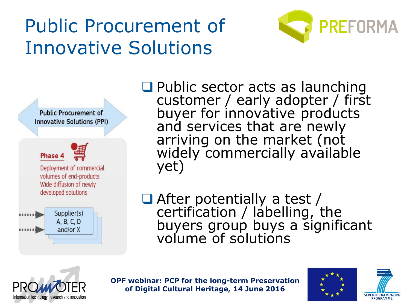# Public Procurement of Innovative Solutions





**Q** Public sector acts as launching customer / early adopter / first buyer for innovative products and services that are newly arriving on the market (not widely commercially available yet)

■ After potentially a test / certification / labelling, the buyers group buys a significant volume of solutions





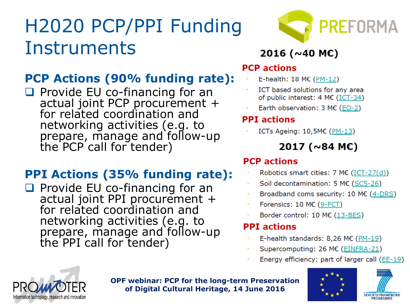# H2020 PCP/PPI Funding **Instruments**

### **PCP Actions (90% funding rate):**

 $\Box$  Provide EU co-financing for an actual joint PCP procurement + for related coordination and networking activities (e.g. to prepare, manage and follow-up the PCP call for tender)

### **PPI Actions (35% funding rate):**

 $\Box$  Provide EU co-financing for an actual joint PPI procurement + for related coordination and networking activities (e.g. to prepare, manage and follow-up the PPI call for tender)



### 2016 ( $\sim$ 40 MC)

#### **PCP** actions

- E-health: 18 M€ (PM-12)
- ICT based solutions for any area of public interest: 4 M€ (ICT-34)
- Earth observation: 3 M€ (EO-2)

#### **PPI** actions

ICTs Ageing: 10,5M€ (PM-13)

#### 2017 ( $\sim$ 84 ME)

#### **PCP** actions

- Robotics smart cities: 7 M€ (ICT-27(d))
- Soil decontamination: 5 M€ (SC5-26)
- Broadband coms security: 10 M $\epsilon$  (4-DRS)
- Forensics:  $10 \text{ M} \in (9 \text{-} FCT)$
- Border control: 10 M€ (13-BES)

#### **PPI** actions

- E-health standards: 8,26 M€ ( $PM-19$ )
- Supercomputing: 26 M€ (EINFRA-21)
- Energy efficiency: part of larger call (EE-19)





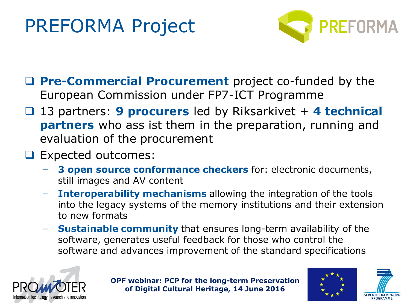## PREFORMA Project



- **Pre-Commercial Procurement** project co-funded by the European Commission under FP7-ICT Programme
- □ 13 partners: 9 procurers led by Riksarkivet + 4 technical **partners** who ass ist them in the preparation, running and evaluation of the procurement
- **Expected outcomes:** 
	- **3 open source conformance checkers** for: electronic documents, still images and AV content
	- **Interoperability mechanisms** allowing the integration of the tools into the legacy systems of the memory institutions and their extension to new formats
	- **Sustainable community** that ensures long-term availability of the software, generates useful feedback for those who control the software and advances improvement of the standard specifications





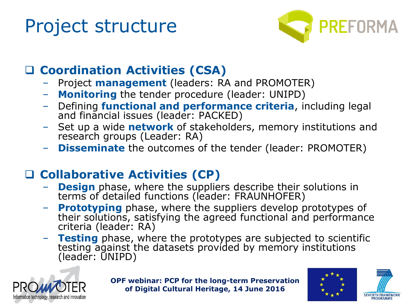## Project structure



### **Coordination Activities (CSA)**

- Project **management** (leaders: RA and PROMOTER)
- **Monitoring** the tender procedure (leader: UNIPD)
- Defining **functional and performance criteria**, including legal and financial issues (leader: PACKED)
- Set up a wide **network** of stakeholders, memory institutions and research groups (Leader: RA)
- **Disseminate** the outcomes of the tender (leader: PROMOTER)

### **Collaborative Activities (CP)**

- **Design** phase, where the suppliers describe their solutions in terms of detailed functions (leader: FRAUNHOFER)
- **Prototyping** phase, where the suppliers develop prototypes of their solutions, satisfying the agreed functional and performance criteria (leader: RA)
- **Testing** phase, where the prototypes are subjected to scientific testing against the datasets provided by memory institutions (leader: UNIPD)





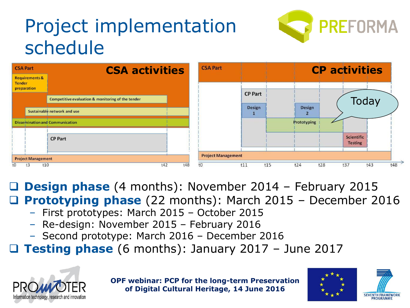# Project implementation schedule





 **Design phase** (4 months): November 2014 – February 2015 **Prototyping phase** (22 months): March 2015 – December 2016

- First prototypes: March 2015 October 2015
- Re-design: November 2015 February 2016
- Second prototype: March 2016 December 2016

**Testing phase** (6 months): January 2017 – June 2017





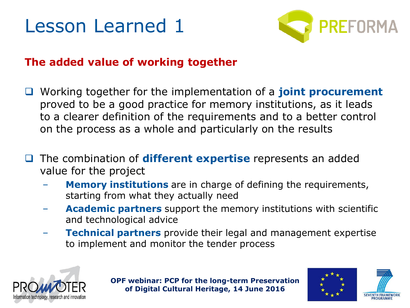



#### **The added value of working together**

- Working together for the implementation of a **joint procurement**  proved to be a good practice for memory institutions, as it leads to a clearer definition of the requirements and to a better control on the process as a whole and particularly on the results
- The combination of **different expertise** represents an added value for the project
	- **Memory institutions** are in charge of defining the requirements, starting from what they actually need
	- **Academic partners** support the memory institutions with scientific and technological advice
	- **Technical partners** provide their legal and management expertise to implement and monitor the tender process





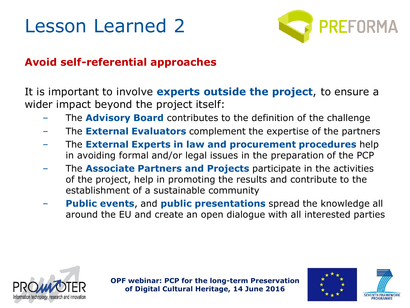## Lesson Learned 2



#### **Avoid self-referential approaches**

It is important to involve **experts outside the project**, to ensure a wider impact beyond the project itself:

- The **Advisory Board** contributes to the definition of the challenge
- The **External Evaluators** complement the expertise of the partners
- The **External Experts in law and procurement procedures** help in avoiding formal and/or legal issues in the preparation of the PCP
- The **Associate Partners and Projects** participate in the activities of the project, help in promoting the results and contribute to the establishment of a sustainable community
- **Public events**, and **public presentations** spread the knowledge all around the EU and create an open dialogue with all interested parties





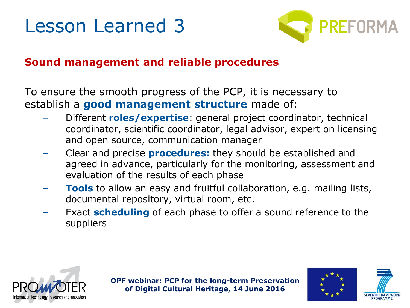### Lesson Learned 3



#### **Sound management and reliable procedures**

To ensure the smooth progress of the PCP, it is necessary to establish a **good management structure** made of:

- Different **roles/expertise**: general project coordinator, technical coordinator, scientific coordinator, legal advisor, expert on licensing and open source, communication manager
- Clear and precise **procedures:** they should be established and agreed in advance, particularly for the monitoring, assessment and evaluation of the results of each phase
- **Tools** to allow an easy and fruitful collaboration, e.g. mailing lists, documental repository, virtual room, etc.
- Exact **scheduling** of each phase to offer a sound reference to the suppliers





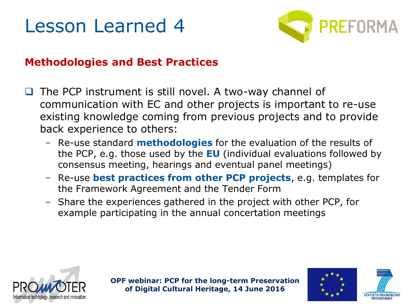### Lesson Learned 4



#### **Methodologies and Best Practices**

- The PCP instrument is still novel. A two-way channel of communication with EC and other projects is important to re-use existing knowledge coming from previous projects and to provide back experience to others:
	- Re-use standard **methodologies** for the evaluation of the results of the PCP, e.g. those used by the **EU** (individual evaluations followed by consensus meeting, hearings and eventual panel meetings)
	- Re-use **best practices from other PCP projects**, e.g. templates for the Framework Agreement and the Tender Form
	- Share the experiences gathered in the project with other PCP, for example participating in the annual concertation meetings